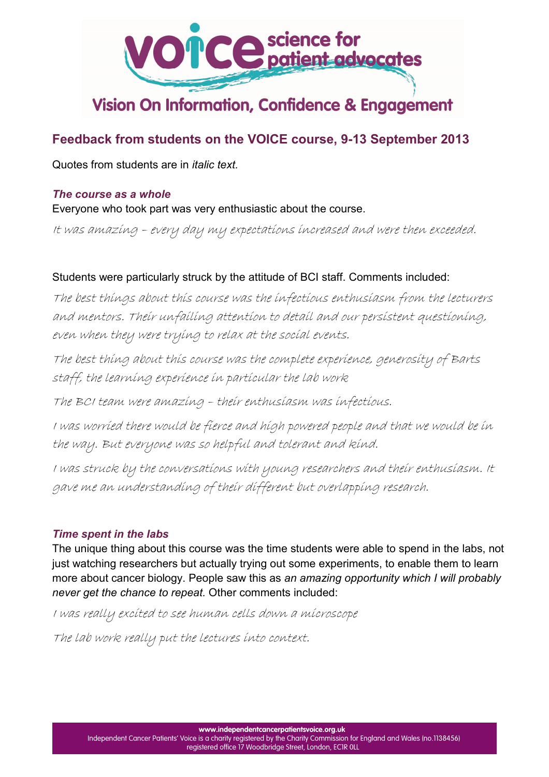

# Vision On Information, Confidence & Engagement

# **Feedback from students on the VOICE course, 9-13 September 2013**

Quotes from students are in *italic text.*

#### *The course as a whole*

Everyone who took part was very enthusiastic about the course.

It was amazing – every day my expectations increased and were then exceeded.

#### Students were particularly struck by the attitude of BCI staff. Comments included:

The best things about this course was the infectious enthusiasm from the lecturers and mentors. Their unfailing attention to detail and our persistent questioning, even when they were trying to relax at the social events.

The best thing about this course was the complete experience, generosity of Barts staff, the learning experience in particular the lab work

The BCI team were amazing – their enthusiasm was infectious.

I was worried there would be fierce and high powered people and that we would be in the way. But everyone was so helpful and tolerant and kind.

I was struck by the conversations with young researchers and their enthusiasm. It gave me an understanding of their different but overlapping research.

#### *Time spent in the labs*

The unique thing about this course was the time students were able to spend in the labs, not just watching researchers but actually trying out some experiments, to enable them to learn more about cancer biology. People saw this as *an amazing opportunity which I will probably never get the chance to repeat.* Other comments included:

I was really excited to see human cells down a microscope

The lab work really put the lectures into context.